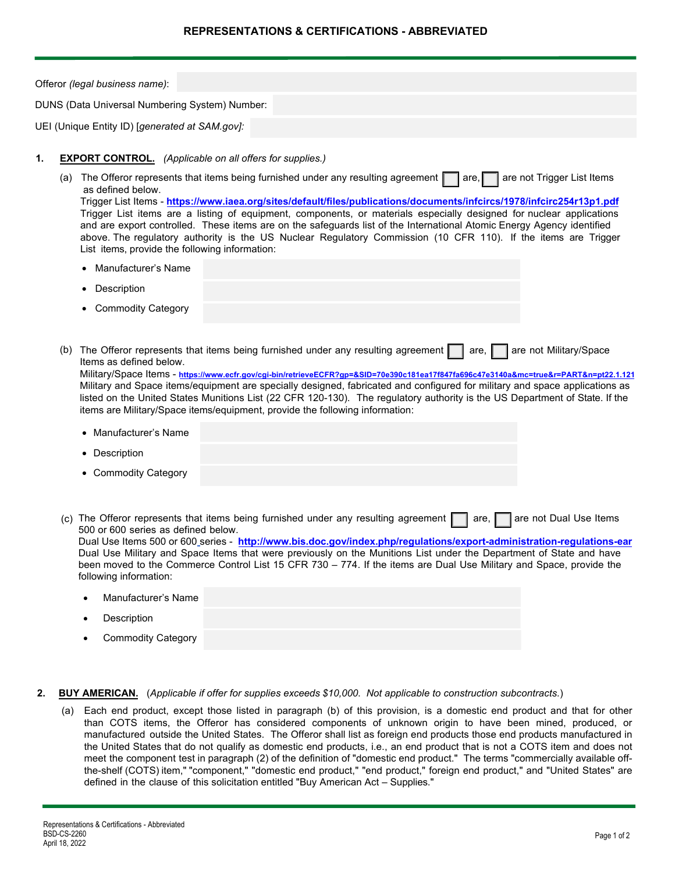## **REPRESENTATIONS & CERTIFICATIONS - ABBREVIATED**

| Offeror (legal business name): |     |                                                                                                                                                                                                                                                                                                                                                                                                                                                                                                                                                                                                                                                                                                              |  |
|--------------------------------|-----|--------------------------------------------------------------------------------------------------------------------------------------------------------------------------------------------------------------------------------------------------------------------------------------------------------------------------------------------------------------------------------------------------------------------------------------------------------------------------------------------------------------------------------------------------------------------------------------------------------------------------------------------------------------------------------------------------------------|--|
|                                |     | DUNS (Data Universal Numbering System) Number:                                                                                                                                                                                                                                                                                                                                                                                                                                                                                                                                                                                                                                                               |  |
|                                |     | UEI (Unique Entity ID) [generated at SAM.gov]:                                                                                                                                                                                                                                                                                                                                                                                                                                                                                                                                                                                                                                                               |  |
| 1.                             |     | <b>EXPORT CONTROL.</b> (Applicable on all offers for supplies.)                                                                                                                                                                                                                                                                                                                                                                                                                                                                                                                                                                                                                                              |  |
|                                |     | (a) The Offeror represents that items being furnished under any resulting agreement $\mathbf I$<br>are not Trigger List Items<br>are,  <br>as defined below.<br>Trigger List Items - https://www.iaea.org/sites/default/files/publications/documents/infcircs/1978/infcirc254r13p1.pdf<br>Trigger List items are a listing of equipment, components, or materials especially designed for nuclear applications<br>and are export controlled. These items are on the safeguards list of the International Atomic Energy Agency identified<br>above. The regulatory authority is the US Nuclear Regulatory Commission (10 CFR 110). If the items are Trigger<br>List items, provide the following information: |  |
|                                |     | Manufacturer's Name                                                                                                                                                                                                                                                                                                                                                                                                                                                                                                                                                                                                                                                                                          |  |
|                                |     | Description                                                                                                                                                                                                                                                                                                                                                                                                                                                                                                                                                                                                                                                                                                  |  |
|                                |     | • Commodity Category                                                                                                                                                                                                                                                                                                                                                                                                                                                                                                                                                                                                                                                                                         |  |
|                                | (b) | The Offeror represents that items being furnished under any resulting agreement  <br>are not Military/Space<br>are, I<br>Items as defined below.<br>Military/Space Items - https://www.ecfr.gov/cgi-bin/retrieveECFR?gp=&SID=70e390c181ea17f847fa696c47e3140a&mc=true&r=PART&n=pt22.1.121<br>Military and Space items/equipment are specially designed, fabricated and configured for military and space applications as<br>listed on the United States Munitions List (22 CFR 120-130). The regulatory authority is the US Department of State. If the<br>items are Military/Space items/equipment, provide the following information:                                                                      |  |
|                                |     | • Manufacturer's Name                                                                                                                                                                                                                                                                                                                                                                                                                                                                                                                                                                                                                                                                                        |  |
|                                |     | • Description                                                                                                                                                                                                                                                                                                                                                                                                                                                                                                                                                                                                                                                                                                |  |
|                                |     | • Commodity Category                                                                                                                                                                                                                                                                                                                                                                                                                                                                                                                                                                                                                                                                                         |  |
|                                |     |                                                                                                                                                                                                                                                                                                                                                                                                                                                                                                                                                                                                                                                                                                              |  |
|                                |     | (c) The Offeror represents that items being furnished under any resulting agreement  <br>are not Dual Use Items<br>are,<br>500 or 600 series as defined below.<br>Dual Use Items 500 or 600 series - http://www.bis.doc.gov/index.php/regulations/export-administration-regulations-ear<br>Dual Use Military and Space Items that were previously on the Munitions List under the Department of State and have<br>been moved to the Commerce Control List 15 CFR 730 - 774. If the items are Dual Use Military and Space, provide the<br>following information:                                                                                                                                              |  |

- Manufacturer's Name
- **Description**
- Commodity Category

**2. BUY AMERICAN.** (*Applicable if offer for supplies exceeds \$10,000*. *Not applicable to construction subcontracts.*)

Each end product, except those listed in paragraph (b) of this provision, is a domestic end product and that for other (a)than COTS items, the Offeror has considered components of unknown origin to have been mined, produced, or manufactured outside the United States. The Offeror shall list as foreign end products those end products manufactured in the United States that do not qualify as domestic end products, i.e., an end product that is not a COTS item and does not meet the component test in paragraph (2) of the definition of "domestic end product." The terms "commercially available offthe-shelf (COTS) item," "component," "domestic end product," "end product," foreign end product," and "United States" are defined in the clause of this solicitation entitled "Buy American Act – Supplies."